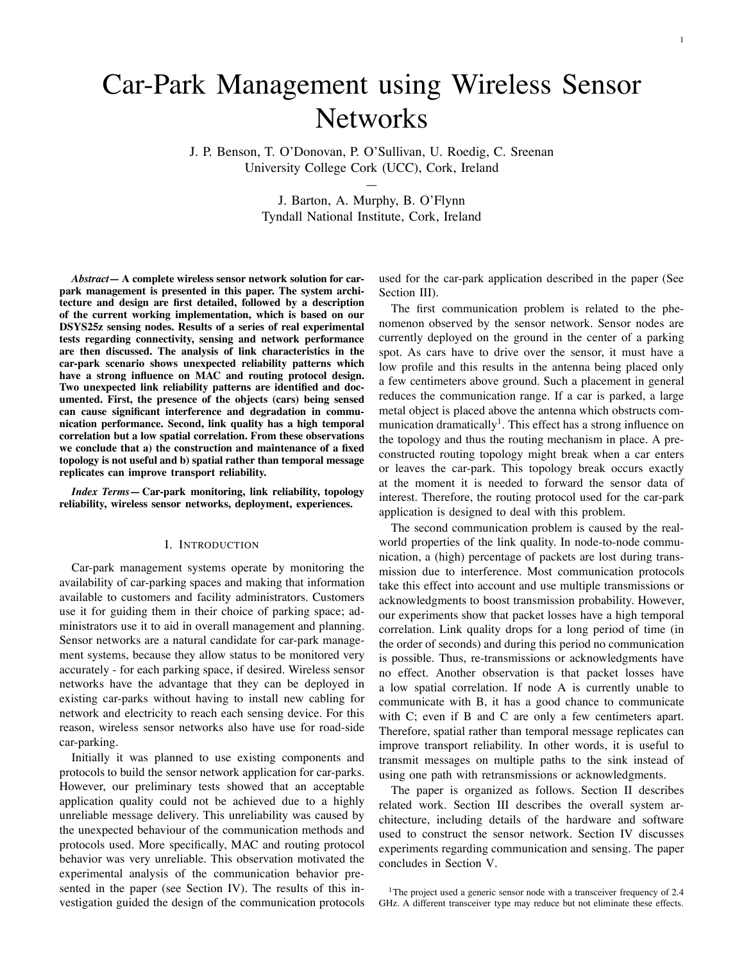J. P. Benson, T. O'Donovan, P. O'Sullivan, U. Roedig, C. Sreenan University College Cork (UCC), Cork, Ireland

> — J. Barton, A. Murphy, B. O'Flynn Tyndall National Institute, Cork, Ireland

*Abstract***— A complete wireless sensor network solution for carpark management is presented in this paper. The system architecture and design are first detailed, followed by a description of the current working implementation, which is based on our DSYS25z sensing nodes. Results of a series of real experimental tests regarding connectivity, sensing and network performance are then discussed. The analysis of link characteristics in the car-park scenario shows unexpected reliability patterns which have a strong influence on MAC and routing protocol design. Two unexpected link reliability patterns are identified and documented. First, the presence of the objects (cars) being sensed can cause significant interference and degradation in communication performance. Second, link quality has a high temporal correlation but a low spatial correlation. From these observations we conclude that a) the construction and maintenance of a fixed topology is not useful and b) spatial rather than temporal message replicates can improve transport reliability.**

*Index Terms***—Car-park monitoring, link reliability, topology reliability, wireless sensor networks, deployment, experiences.**

#### I. INTRODUCTION

Car-park management systems operate by monitoring the availability of car-parking spaces and making that information available to customers and facility administrators. Customers use it for guiding them in their choice of parking space; administrators use it to aid in overall management and planning. Sensor networks are a natural candidate for car-park management systems, because they allow status to be monitored very accurately - for each parking space, if desired. Wireless sensor networks have the advantage that they can be deployed in existing car-parks without having to install new cabling for network and electricity to reach each sensing device. For this reason, wireless sensor networks also have use for road-side car-parking.

Initially it was planned to use existing components and protocols to build the sensor network application for car-parks. However, our preliminary tests showed that an acceptable application quality could not be achieved due to a highly unreliable message delivery. This unreliability was caused by the unexpected behaviour of the communication methods and protocols used. More specifically, MAC and routing protocol behavior was very unreliable. This observation motivated the experimental analysis of the communication behavior presented in the paper (see Section IV). The results of this investigation guided the design of the communication protocols used for the car-park application described in the paper (See Section III).

The first communication problem is related to the phenomenon observed by the sensor network. Sensor nodes are currently deployed on the ground in the center of a parking spot. As cars have to drive over the sensor, it must have a low profile and this results in the antenna being placed only a few centimeters above ground. Such a placement in general reduces the communication range. If a car is parked, a large metal object is placed above the antenna which obstructs communication dramatically<sup>1</sup>. This effect has a strong influence on the topology and thus the routing mechanism in place. A preconstructed routing topology might break when a car enters or leaves the car-park. This topology break occurs exactly at the moment it is needed to forward the sensor data of interest. Therefore, the routing protocol used for the car-park application is designed to deal with this problem.

The second communication problem is caused by the realworld properties of the link quality. In node-to-node communication, a (high) percentage of packets are lost during transmission due to interference. Most communication protocols take this effect into account and use multiple transmissions or acknowledgments to boost transmission probability. However, our experiments show that packet losses have a high temporal correlation. Link quality drops for a long period of time (in the order of seconds) and during this period no communication is possible. Thus, re-transmissions or acknowledgments have no effect. Another observation is that packet losses have a low spatial correlation. If node A is currently unable to communicate with B, it has a good chance to communicate with C; even if B and C are only a few centimeters apart. Therefore, spatial rather than temporal message replicates can improve transport reliability. In other words, it is useful to transmit messages on multiple paths to the sink instead of using one path with retransmissions or acknowledgments.

The paper is organized as follows. Section II describes related work. Section III describes the overall system architecture, including details of the hardware and software used to construct the sensor network. Section IV discusses experiments regarding communication and sensing. The paper concludes in Section V.

<sup>1</sup>The project used a generic sensor node with a transceiver frequency of  $2.4$ GHz. A different transceiver type may reduce but not eliminate these effects.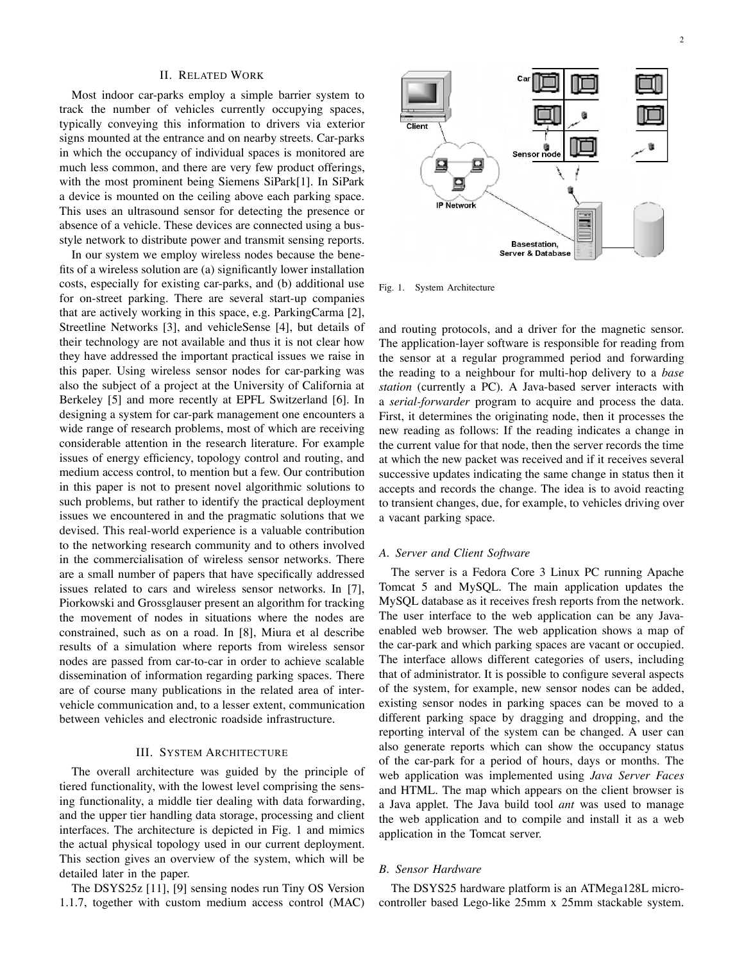# II. RELATED WORK

Most indoor car-parks employ a simple barrier system to track the number of vehicles currently occupying spaces, typically conveying this information to drivers via exterior signs mounted at the entrance and on nearby streets. Car-parks in which the occupancy of individual spaces is monitored are much less common, and there are very few product offerings, with the most prominent being Siemens SiPark[1]. In SiPark a device is mounted on the ceiling above each parking space. This uses an ultrasound sensor for detecting the presence or absence of a vehicle. These devices are connected using a busstyle network to distribute power and transmit sensing reports.

In our system we employ wireless nodes because the benefits of a wireless solution are (a) significantly lower installation costs, especially for existing car-parks, and (b) additional use for on-street parking. There are several start-up companies that are actively working in this space, e.g. ParkingCarma [2], Streetline Networks [3], and vehicleSense [4], but details of their technology are not available and thus it is not clear how they have addressed the important practical issues we raise in this paper. Using wireless sensor nodes for car-parking was also the subject of a project at the University of California at Berkeley [5] and more recently at EPFL Switzerland [6]. In designing a system for car-park management one encounters a wide range of research problems, most of which are receiving considerable attention in the research literature. For example issues of energy efficiency, topology control and routing, and medium access control, to mention but a few. Our contribution in this paper is not to present novel algorithmic solutions to such problems, but rather to identify the practical deployment issues we encountered in and the pragmatic solutions that we devised. This real-world experience is a valuable contribution to the networking research community and to others involved in the commercialisation of wireless sensor networks. There are a small number of papers that have specifically addressed issues related to cars and wireless sensor networks. In [7], Piorkowski and Grossglauser present an algorithm for tracking the movement of nodes in situations where the nodes are constrained, such as on a road. In [8], Miura et al describe results of a simulation where reports from wireless sensor nodes are passed from car-to-car in order to achieve scalable dissemination of information regarding parking spaces. There are of course many publications in the related area of intervehicle communication and, to a lesser extent, communication between vehicles and electronic roadside infrastructure.

#### III. SYSTEM ARCHITECTURE

The overall architecture was guided by the principle of tiered functionality, with the lowest level comprising the sensing functionality, a middle tier dealing with data forwarding, and the upper tier handling data storage, processing and client interfaces. The architecture is depicted in Fig. 1 and mimics the actual physical topology used in our current deployment. This section gives an overview of the system, which will be detailed later in the paper.

The DSYS25z [11], [9] sensing nodes run Tiny OS Version 1.1.7, together with custom medium access control (MAC)



Fig. 1. System Architecture

and routing protocols, and a driver for the magnetic sensor. The application-layer software is responsible for reading from the sensor at a regular programmed period and forwarding the reading to a neighbour for multi-hop delivery to a *base station* (currently a PC). A Java-based server interacts with a *serial-forwarder* program to acquire and process the data. First, it determines the originating node, then it processes the new reading as follows: If the reading indicates a change in the current value for that node, then the server records the time at which the new packet was received and if it receives several successive updates indicating the same change in status then it accepts and records the change. The idea is to avoid reacting to transient changes, due, for example, to vehicles driving over a vacant parking space.

# *A. Server and Client Software*

The server is a Fedora Core 3 Linux PC running Apache Tomcat 5 and MySQL. The main application updates the MySQL database as it receives fresh reports from the network. The user interface to the web application can be any Javaenabled web browser. The web application shows a map of the car-park and which parking spaces are vacant or occupied. The interface allows different categories of users, including that of administrator. It is possible to configure several aspects of the system, for example, new sensor nodes can be added, existing sensor nodes in parking spaces can be moved to a different parking space by dragging and dropping, and the reporting interval of the system can be changed. A user can also generate reports which can show the occupancy status of the car-park for a period of hours, days or months. The web application was implemented using *Java Server Faces* and HTML. The map which appears on the client browser is a Java applet. The Java build tool *ant* was used to manage the web application and to compile and install it as a web application in the Tomcat server.

# *B. Sensor Hardware*

The DSYS25 hardware platform is an ATMega128L microcontroller based Lego-like 25mm x 25mm stackable system.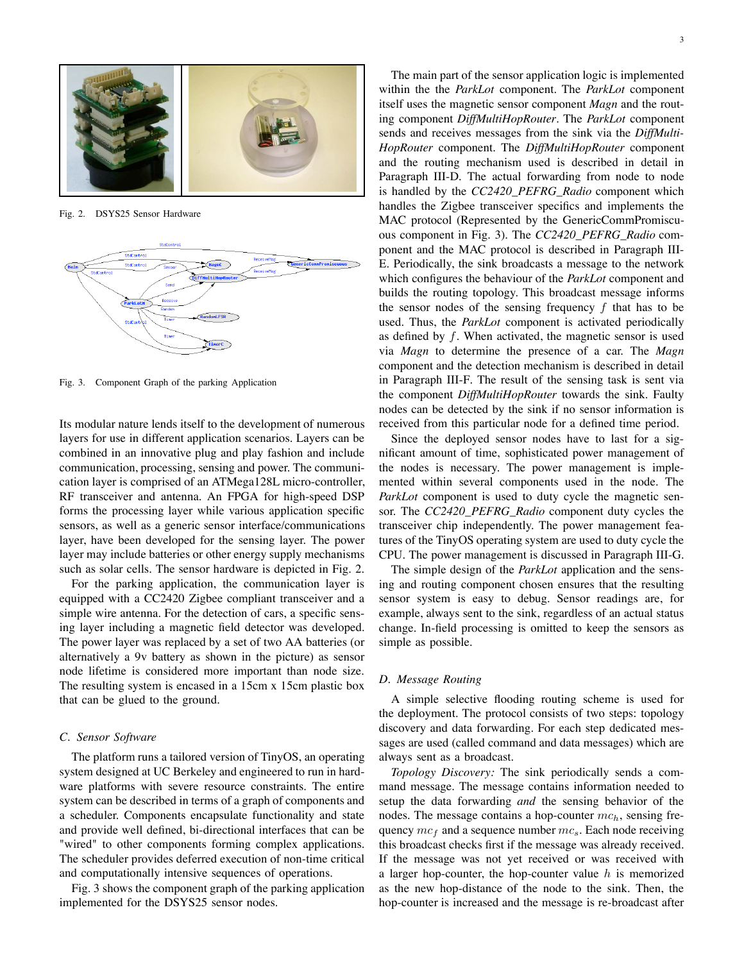

Fig. 2. DSYS25 Sensor Hardware



Fig. 3. Component Graph of the parking Application

Its modular nature lends itself to the development of numerous layers for use in different application scenarios. Layers can be combined in an innovative plug and play fashion and include communication, processing, sensing and power. The communication layer is comprised of an ATMega128L micro-controller, RF transceiver and antenna. An FPGA for high-speed DSP forms the processing layer while various application specific sensors, as well as a generic sensor interface/communications layer, have been developed for the sensing layer. The power layer may include batteries or other energy supply mechanisms such as solar cells. The sensor hardware is depicted in Fig. 2.

For the parking application, the communication layer is equipped with a CC2420 Zigbee compliant transceiver and a simple wire antenna. For the detection of cars, a specific sensing layer including a magnetic field detector was developed. The power layer was replaced by a set of two AA batteries (or alternatively a 9v battery as shown in the picture) as sensor node lifetime is considered more important than node size. The resulting system is encased in a 15cm x 15cm plastic box that can be glued to the ground.

# *C. Sensor Software*

The platform runs a tailored version of TinyOS, an operating system designed at UC Berkeley and engineered to run in hardware platforms with severe resource constraints. The entire system can be described in terms of a graph of components and a scheduler. Components encapsulate functionality and state and provide well defined, bi-directional interfaces that can be "wired" to other components forming complex applications. The scheduler provides deferred execution of non-time critical and computationally intensive sequences of operations.

Fig. 3 shows the component graph of the parking application implemented for the DSYS25 sensor nodes.

The main part of the sensor application logic is implemented within the the *ParkLot* component. The *ParkLot* component itself uses the magnetic sensor component *Magn* and the routing component *DiffMultiHopRouter*. The *ParkLot* component sends and receives messages from the sink via the *DiffMulti-HopRouter* component. The *DiffMultiHopRouter* component and the routing mechanism used is described in detail in Paragraph III-D. The actual forwarding from node to node is handled by the *CC2420\_PEFRG\_Radio* component which handles the Zigbee transceiver specifics and implements the MAC protocol (Represented by the GenericCommPromiscuous component in Fig. 3). The *CC2420\_PEFRG\_Radio* component and the MAC protocol is described in Paragraph III-E. Periodically, the sink broadcasts a message to the network which configures the behaviour of the *ParkLot* component and builds the routing topology. This broadcast message informs the sensor nodes of the sensing frequency  $f$  that has to be used. Thus, the *ParkLot* component is activated periodically as defined by  $f$ . When activated, the magnetic sensor is used via *Magn* to determine the presence of a car. The *Magn* component and the detection mechanism is described in detail in Paragraph III-F. The result of the sensing task is sent via the component *DiffMultiHopRouter* towards the sink. Faulty nodes can be detected by the sink if no sensor information is received from this particular node for a defined time period.

Since the deployed sensor nodes have to last for a significant amount of time, sophisticated power management of the nodes is necessary. The power management is implemented within several components used in the node. The *ParkLot* component is used to duty cycle the magnetic sensor. The *CC2420\_PEFRG\_Radio* component duty cycles the transceiver chip independently. The power management features of the TinyOS operating system are used to duty cycle the CPU. The power management is discussed in Paragraph III-G.

The simple design of the *ParkLot* application and the sensing and routing component chosen ensures that the resulting sensor system is easy to debug. Sensor readings are, for example, always sent to the sink, regardless of an actual status change. In-field processing is omitted to keep the sensors as simple as possible.

# *D. Message Routing*

A simple selective flooding routing scheme is used for the deployment. The protocol consists of two steps: topology discovery and data forwarding. For each step dedicated messages are used (called command and data messages) which are always sent as a broadcast.

*Topology Discovery:* The sink periodically sends a command message. The message contains information needed to setup the data forwarding *and* the sensing behavior of the nodes. The message contains a hop-counter  $mc<sub>h</sub>$ , sensing frequency  $mc_f$  and a sequence number  $mc_s$ . Each node receiving this broadcast checks first if the message was already received. If the message was not yet received or was received with a larger hop-counter, the hop-counter value  $h$  is memorized as the new hop-distance of the node to the sink. Then, the hop-counter is increased and the message is re-broadcast after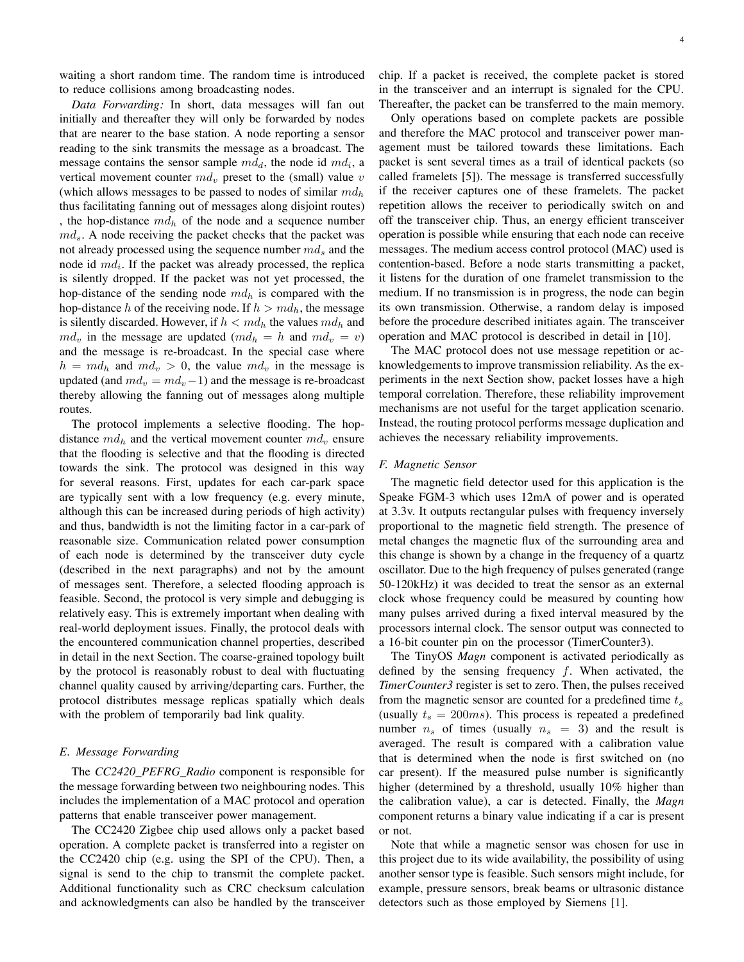waiting a short random time. The random time is introduced to reduce collisions among broadcasting nodes.

*Data Forwarding:* In short, data messages will fan out initially and thereafter they will only be forwarded by nodes that are nearer to the base station. A node reporting a sensor reading to the sink transmits the message as a broadcast. The message contains the sensor sample  $m d_d$ , the node id  $m d_i$ , a vertical movement counter  $md_v$  preset to the (small) value v (which allows messages to be passed to nodes of similar  $m d_h$ thus facilitating fanning out of messages along disjoint routes) , the hop-distance  $m d_h$  of the node and a sequence number  $md_s$ . A node receiving the packet checks that the packet was not already processed using the sequence number  $md_s$  and the node id  $md_i$ . If the packet was already processed, the replica is silently dropped. If the packet was not yet processed, the hop-distance of the sending node  $m d_h$  is compared with the hop-distance h of the receiving node. If  $h > m d_h$ , the message is silently discarded. However, if  $h < m d_h$  the values  $m d_h$  and  $md_v$  in the message are updated ( $md_h = h$  and  $md_v = v$ ) and the message is re-broadcast. In the special case where  $h = m d_h$  and  $m d_v > 0$ , the value  $m d_v$  in the message is updated (and  $md_v = md_v - 1$ ) and the message is re-broadcast thereby allowing the fanning out of messages along multiple routes.

The protocol implements a selective flooding. The hopdistance  $m d_h$  and the vertical movement counter  $m d_v$  ensure that the flooding is selective and that the flooding is directed towards the sink. The protocol was designed in this way for several reasons. First, updates for each car-park space are typically sent with a low frequency (e.g. every minute, although this can be increased during periods of high activity) and thus, bandwidth is not the limiting factor in a car-park of reasonable size. Communication related power consumption of each node is determined by the transceiver duty cycle (described in the next paragraphs) and not by the amount of messages sent. Therefore, a selected flooding approach is feasible. Second, the protocol is very simple and debugging is relatively easy. This is extremely important when dealing with real-world deployment issues. Finally, the protocol deals with the encountered communication channel properties, described in detail in the next Section. The coarse-grained topology built by the protocol is reasonably robust to deal with fluctuating channel quality caused by arriving/departing cars. Further, the protocol distributes message replicas spatially which deals with the problem of temporarily bad link quality.

## *E. Message Forwarding*

The *CC2420\_PEFRG\_Radio* component is responsible for the message forwarding between two neighbouring nodes. This includes the implementation of a MAC protocol and operation patterns that enable transceiver power management.

The CC2420 Zigbee chip used allows only a packet based operation. A complete packet is transferred into a register on the CC2420 chip (e.g. using the SPI of the CPU). Then, a signal is send to the chip to transmit the complete packet. Additional functionality such as CRC checksum calculation and acknowledgments can also be handled by the transceiver chip. If a packet is received, the complete packet is stored in the transceiver and an interrupt is signaled for the CPU. Thereafter, the packet can be transferred to the main memory.

Only operations based on complete packets are possible and therefore the MAC protocol and transceiver power management must be tailored towards these limitations. Each packet is sent several times as a trail of identical packets (so called framelets [5]). The message is transferred successfully if the receiver captures one of these framelets. The packet repetition allows the receiver to periodically switch on and off the transceiver chip. Thus, an energy efficient transceiver operation is possible while ensuring that each node can receive messages. The medium access control protocol (MAC) used is contention-based. Before a node starts transmitting a packet, it listens for the duration of one framelet transmission to the medium. If no transmission is in progress, the node can begin its own transmission. Otherwise, a random delay is imposed before the procedure described initiates again. The transceiver operation and MAC protocol is described in detail in [10].

The MAC protocol does not use message repetition or acknowledgements to improve transmission reliability. As the experiments in the next Section show, packet losses have a high temporal correlation. Therefore, these reliability improvement mechanisms are not useful for the target application scenario. Instead, the routing protocol performs message duplication and achieves the necessary reliability improvements.

## *F. Magnetic Sensor*

The magnetic field detector used for this application is the Speake FGM-3 which uses 12mA of power and is operated at 3.3v. It outputs rectangular pulses with frequency inversely proportional to the magnetic field strength. The presence of metal changes the magnetic flux of the surrounding area and this change is shown by a change in the frequency of a quartz oscillator. Due to the high frequency of pulses generated (range 50-120kHz) it was decided to treat the sensor as an external clock whose frequency could be measured by counting how many pulses arrived during a fixed interval measured by the processors internal clock. The sensor output was connected to a 16-bit counter pin on the processor (TimerCounter3).

The TinyOS *Magn* component is activated periodically as defined by the sensing frequency  $f$ . When activated, the *TimerCounter3* register is set to zero. Then, the pulses received from the magnetic sensor are counted for a predefined time  $t_s$ (usually  $t_s = 200ms$ ). This process is repeated a predefined number  $n_s$  of times (usually  $n_s = 3$ ) and the result is averaged. The result is compared with a calibration value that is determined when the node is first switched on (no car present). If the measured pulse number is significantly higher (determined by a threshold, usually 10% higher than the calibration value), a car is detected. Finally, the *Magn* component returns a binary value indicating if a car is present or not.

Note that while a magnetic sensor was chosen for use in this project due to its wide availability, the possibility of using another sensor type is feasible. Such sensors might include, for example, pressure sensors, break beams or ultrasonic distance detectors such as those employed by Siemens [1].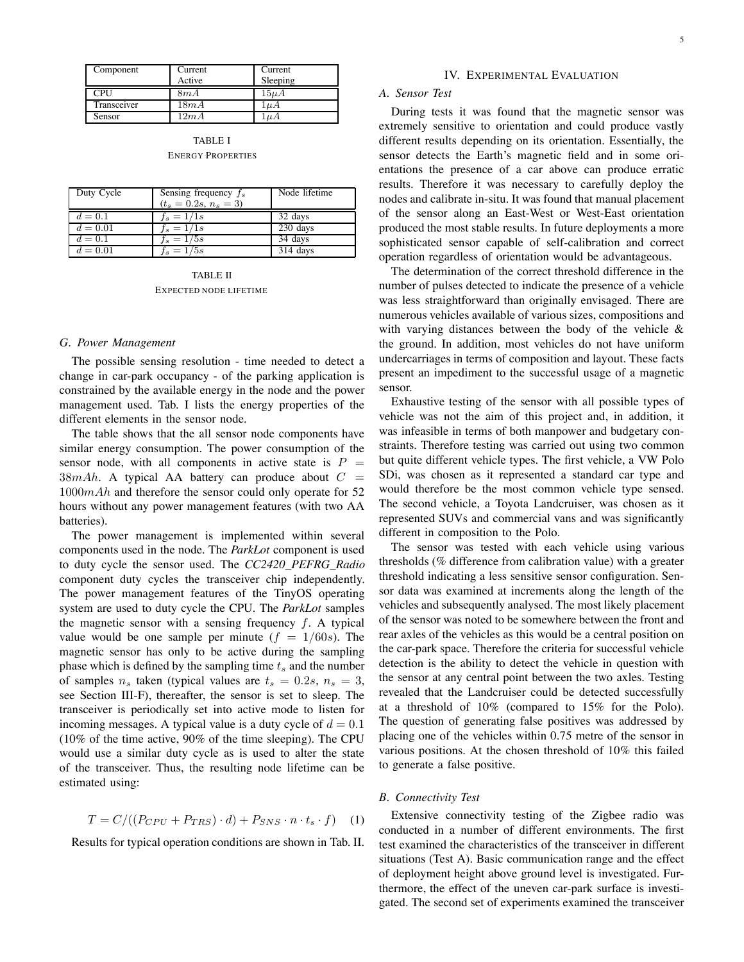| Component   | Current | Current    |
|-------------|---------|------------|
|             | Active  | Sleeping   |
| CPU         | 8mA     | $15 \mu A$ |
| Transceiver | 18mA    | LμA        |
| Sensor      | 12m.A   | мA         |

TABLE I ENERGY PROPERTIES

| Duty Cycle | Sensing frequency $f_s$<br>$(t_s = 0.2s, n_s = 3)$ | Node lifetime |
|------------|----------------------------------------------------|---------------|
| $d=0.1$    | $f_s = 1/1s$                                       | 32 days       |
| $d = 0.01$ | $f_s = 1/1s$                                       | 230 days      |
| $d = 0.1$  | $f_s = 1/5s$                                       | 34 days       |
| $d = 0.01$ | $f_s = 1/5s$                                       | 314 days      |

TABLE II EXPECTED NODE LIFETIME

## *G. Power Management*

The possible sensing resolution - time needed to detect a change in car-park occupancy - of the parking application is constrained by the available energy in the node and the power management used. Tab. I lists the energy properties of the different elements in the sensor node.

The table shows that the all sensor node components have similar energy consumption. The power consumption of the sensor node, with all components in active state is  $P =$  $38mAh$ . A typical AA battery can produce about  $C =$  $1000mAh$  and therefore the sensor could only operate for 52 hours without any power management features (with two AA batteries).

The power management is implemented within several components used in the node. The *ParkLot* component is used to duty cycle the sensor used. The *CC2420\_PEFRG\_Radio* component duty cycles the transceiver chip independently. The power management features of the TinyOS operating system are used to duty cycle the CPU. The *ParkLot* samples the magnetic sensor with a sensing frequency  $f$ . A typical value would be one sample per minute  $(f = 1/60s)$ . The magnetic sensor has only to be active during the sampling phase which is defined by the sampling time  $t_s$  and the number of samples  $n_s$  taken (typical values are  $t_s = 0.2s$ ,  $n_s = 3$ , see Section III-F), thereafter, the sensor is set to sleep. The transceiver is periodically set into active mode to listen for incoming messages. A typical value is a duty cycle of  $d = 0.1$ (10% of the time active, 90% of the time sleeping). The CPU would use a similar duty cycle as is used to alter the state of the transceiver. Thus, the resulting node lifetime can be estimated using:

$$
T = C/((P_{CPU} + P_{TRS}) \cdot d) + P_{SNS} \cdot n \cdot t_s \cdot f)
$$
 (1)

Results for typical operation conditions are shown in Tab. II.

#### IV. EXPERIMENTAL EVALUATION

# *A. Sensor Test*

During tests it was found that the magnetic sensor was extremely sensitive to orientation and could produce vastly different results depending on its orientation. Essentially, the sensor detects the Earth's magnetic field and in some orientations the presence of a car above can produce erratic results. Therefore it was necessary to carefully deploy the nodes and calibrate in-situ. It was found that manual placement of the sensor along an East-West or West-East orientation produced the most stable results. In future deployments a more sophisticated sensor capable of self-calibration and correct operation regardless of orientation would be advantageous.

The determination of the correct threshold difference in the number of pulses detected to indicate the presence of a vehicle was less straightforward than originally envisaged. There are numerous vehicles available of various sizes, compositions and with varying distances between the body of the vehicle  $\&$ the ground. In addition, most vehicles do not have uniform undercarriages in terms of composition and layout. These facts present an impediment to the successful usage of a magnetic sensor.

Exhaustive testing of the sensor with all possible types of vehicle was not the aim of this project and, in addition, it was infeasible in terms of both manpower and budgetary constraints. Therefore testing was carried out using two common but quite different vehicle types. The first vehicle, a VW Polo SDi, was chosen as it represented a standard car type and would therefore be the most common vehicle type sensed. The second vehicle, a Toyota Landcruiser, was chosen as it represented SUVs and commercial vans and was significantly different in composition to the Polo.

The sensor was tested with each vehicle using various thresholds (% difference from calibration value) with a greater threshold indicating a less sensitive sensor configuration. Sensor data was examined at increments along the length of the vehicles and subsequently analysed. The most likely placement of the sensor was noted to be somewhere between the front and rear axles of the vehicles as this would be a central position on the car-park space. Therefore the criteria for successful vehicle detection is the ability to detect the vehicle in question with the sensor at any central point between the two axles. Testing revealed that the Landcruiser could be detected successfully at a threshold of 10% (compared to 15% for the Polo). The question of generating false positives was addressed by placing one of the vehicles within 0.75 metre of the sensor in various positions. At the chosen threshold of 10% this failed to generate a false positive.

## *B. Connectivity Test*

Extensive connectivity testing of the Zigbee radio was conducted in a number of different environments. The first test examined the characteristics of the transceiver in different situations (Test A). Basic communication range and the effect of deployment height above ground level is investigated. Furthermore, the effect of the uneven car-park surface is investigated. The second set of experiments examined the transceiver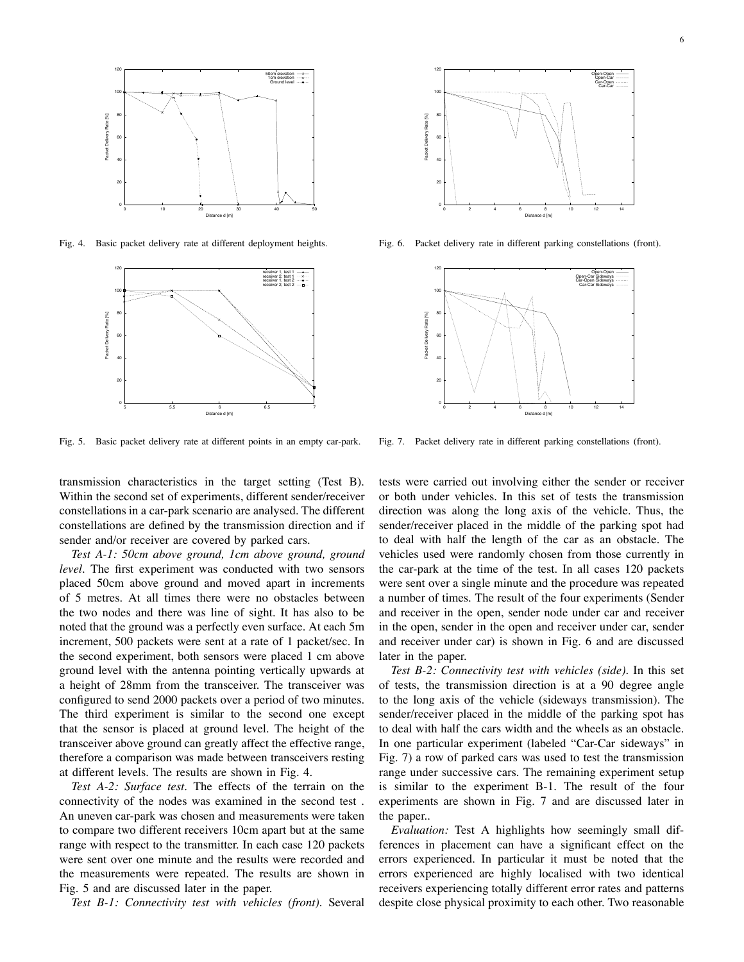

Fig. 4. Basic packet delivery rate at different deployment heights.



Fig. 5. Basic packet delivery rate at different points in an empty car-park.

transmission characteristics in the target setting (Test B). Within the second set of experiments, different sender/receiver constellations in a car-park scenario are analysed. The different constellations are defined by the transmission direction and if sender and/or receiver are covered by parked cars.

*Test A-1: 50cm above ground, 1cm above ground, ground level.* The first experiment was conducted with two sensors placed 50cm above ground and moved apart in increments of 5 metres. At all times there were no obstacles between the two nodes and there was line of sight. It has also to be noted that the ground was a perfectly even surface. At each 5m increment, 500 packets were sent at a rate of 1 packet/sec. In the second experiment, both sensors were placed 1 cm above ground level with the antenna pointing vertically upwards at a height of 28mm from the transceiver. The transceiver was configured to send 2000 packets over a period of two minutes. The third experiment is similar to the second one except that the sensor is placed at ground level. The height of the transceiver above ground can greatly affect the effective range, therefore a comparison was made between transceivers resting at different levels. The results are shown in Fig. 4.

*Test A-2: Surface test.* The effects of the terrain on the connectivity of the nodes was examined in the second test . An uneven car-park was chosen and measurements were taken to compare two different receivers 10cm apart but at the same range with respect to the transmitter. In each case 120 packets were sent over one minute and the results were recorded and the measurements were repeated. The results are shown in Fig. 5 and are discussed later in the paper.

*Test B-1: Connectivity test with vehicles (front).* Several



Fig. 6. Packet delivery rate in different parking constellations (front).



Fig. 7. Packet delivery rate in different parking constellations (front).

tests were carried out involving either the sender or receiver or both under vehicles. In this set of tests the transmission direction was along the long axis of the vehicle. Thus, the sender/receiver placed in the middle of the parking spot had to deal with half the length of the car as an obstacle. The vehicles used were randomly chosen from those currently in the car-park at the time of the test. In all cases 120 packets were sent over a single minute and the procedure was repeated a number of times. The result of the four experiments (Sender and receiver in the open, sender node under car and receiver in the open, sender in the open and receiver under car, sender and receiver under car) is shown in Fig. 6 and are discussed later in the paper.

*Test B-2: Connectivity test with vehicles (side).* In this set of tests, the transmission direction is at a 90 degree angle to the long axis of the vehicle (sideways transmission). The sender/receiver placed in the middle of the parking spot has to deal with half the cars width and the wheels as an obstacle. In one particular experiment (labeled "Car-Car sideways" in Fig. 7) a row of parked cars was used to test the transmission range under successive cars. The remaining experiment setup is similar to the experiment B-1. The result of the four experiments are shown in Fig. 7 and are discussed later in the paper..

*Evaluation:* Test A highlights how seemingly small differences in placement can have a significant effect on the errors experienced. In particular it must be noted that the errors experienced are highly localised with two identical receivers experiencing totally different error rates and patterns despite close physical proximity to each other. Two reasonable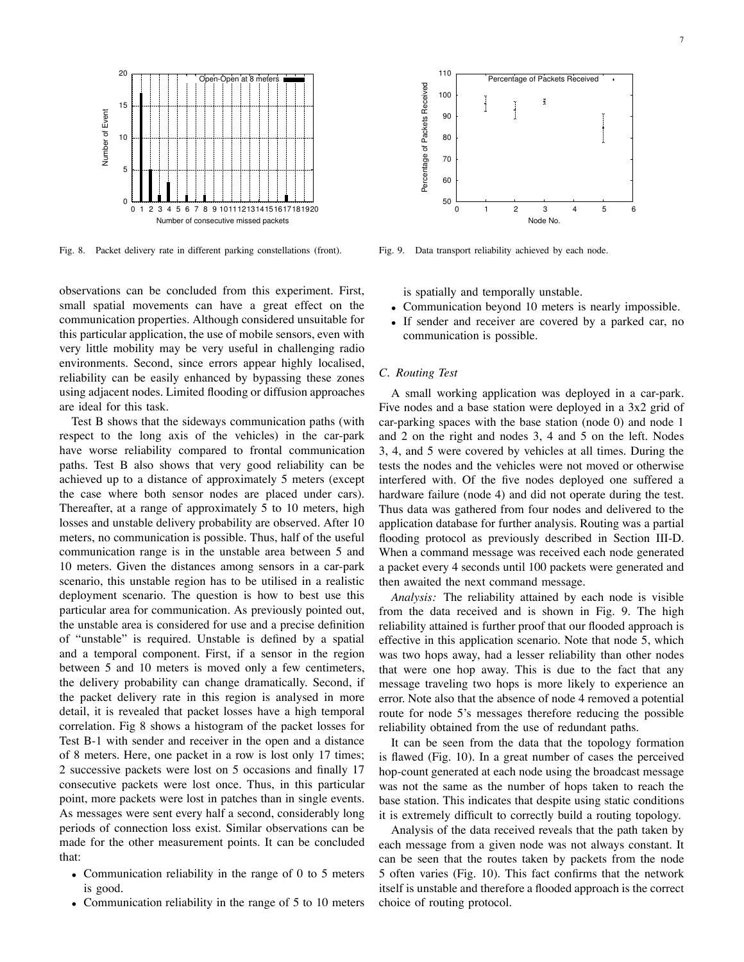

Fig. 8. Packet delivery rate in different parking constellations (front).

observations can be concluded from this experiment. First, small spatial movements can have a great effect on the communication properties. Although considered unsuitable for this particular application, the use of mobile sensors, even with very little mobility may be very useful in challenging radio environments. Second, since errors appear highly localised, reliability can be easily enhanced by bypassing these zones using adjacent nodes. Limited flooding or diffusion approaches are ideal for this task.

Test B shows that the sideways communication paths (with respect to the long axis of the vehicles) in the car-park have worse reliability compared to frontal communication paths. Test B also shows that very good reliability can be achieved up to a distance of approximately 5 meters (except the case where both sensor nodes are placed under cars). Thereafter, at a range of approximately 5 to 10 meters, high losses and unstable delivery probability are observed. After 10 meters, no communication is possible. Thus, half of the useful communication range is in the unstable area between 5 and 10 meters. Given the distances among sensors in a car-park scenario, this unstable region has to be utilised in a realistic deployment scenario. The question is how to best use this particular area for communication. As previously pointed out, the unstable area is considered for use and a precise definition of "unstable" is required. Unstable is defined by a spatial and a temporal component. First, if a sensor in the region between 5 and 10 meters is moved only a few centimeters, the delivery probability can change dramatically. Second, if the packet delivery rate in this region is analysed in more detail, it is revealed that packet losses have a high temporal correlation. Fig 8 shows a histogram of the packet losses for Test B-1 with sender and receiver in the open and a distance of 8 meters. Here, one packet in a row is lost only 17 times; 2 successive packets were lost on 5 occasions and finally 17 consecutive packets were lost once. Thus, in this particular point, more packets were lost in patches than in single events. As messages were sent every half a second, considerably long periods of connection loss exist. Similar observations can be made for the other measurement points. It can be concluded that:

- Communication reliability in the range of 0 to 5 meters is good.
- Communication reliability in the range of 5 to 10 meters



Fig. 9. Data transport reliability achieved by each node.

is spatially and temporally unstable.

- Communication beyond 10 meters is nearly impossible.
- If sender and receiver are covered by a parked car, no communication is possible.

# *C. Routing Test*

A small working application was deployed in a car-park. Five nodes and a base station were deployed in a 3x2 grid of car-parking spaces with the base station (node 0) and node 1 and 2 on the right and nodes 3, 4 and 5 on the left. Nodes 3, 4, and 5 were covered by vehicles at all times. During the tests the nodes and the vehicles were not moved or otherwise interfered with. Of the five nodes deployed one suffered a hardware failure (node 4) and did not operate during the test. Thus data was gathered from four nodes and delivered to the application database for further analysis. Routing was a partial flooding protocol as previously described in Section III-D. When a command message was received each node generated a packet every 4 seconds until 100 packets were generated and then awaited the next command message.

*Analysis:* The reliability attained by each node is visible from the data received and is shown in Fig. 9. The high reliability attained is further proof that our flooded approach is effective in this application scenario. Note that node 5, which was two hops away, had a lesser reliability than other nodes that were one hop away. This is due to the fact that any message traveling two hops is more likely to experience an error. Note also that the absence of node 4 removed a potential route for node 5's messages therefore reducing the possible reliability obtained from the use of redundant paths.

It can be seen from the data that the topology formation is flawed (Fig. 10). In a great number of cases the perceived hop-count generated at each node using the broadcast message was not the same as the number of hops taken to reach the base station. This indicates that despite using static conditions it is extremely difficult to correctly build a routing topology.

Analysis of the data received reveals that the path taken by each message from a given node was not always constant. It can be seen that the routes taken by packets from the node 5 often varies (Fig. 10). This fact confirms that the network itself is unstable and therefore a flooded approach is the correct choice of routing protocol.